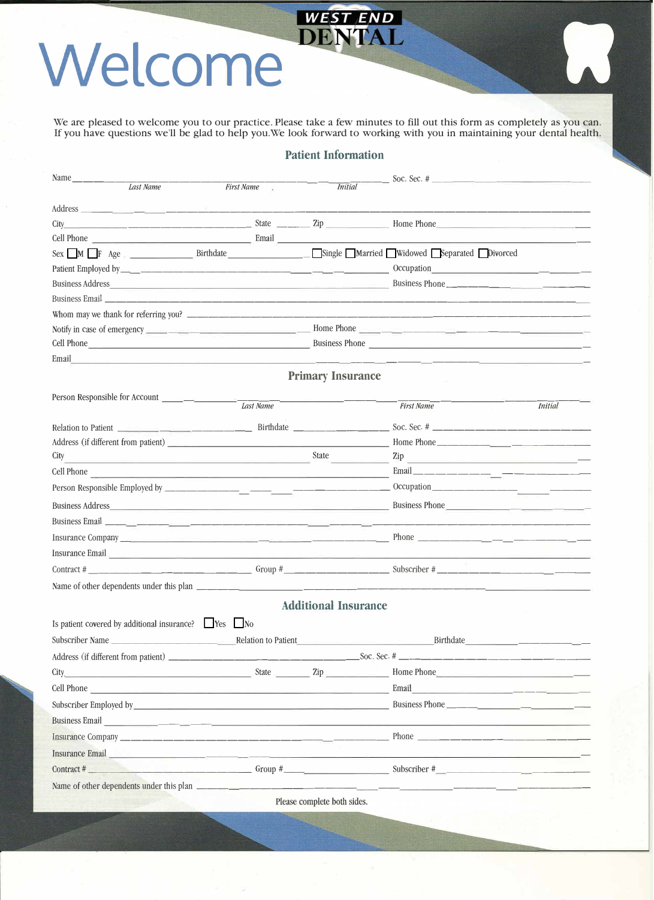## Welcome **WEST END**

We are pleased to welcome you to our practice. Please take a few minutes to fill out this form as completely as you can. If you have questions we'll be glad to help you.We look forward to working with you in maintaining your dental health.

L

|                                                                                                                                                                                                                                                                                                                                            |                                                                                                                      | <b>Patient Information</b>  |                                                                  |         |
|--------------------------------------------------------------------------------------------------------------------------------------------------------------------------------------------------------------------------------------------------------------------------------------------------------------------------------------------|----------------------------------------------------------------------------------------------------------------------|-----------------------------|------------------------------------------------------------------|---------|
| Name $\_\_\_\_\_\_\_\_\_\_\_\$                                                                                                                                                                                                                                                                                                             |                                                                                                                      |                             |                                                                  |         |
| Last Name                                                                                                                                                                                                                                                                                                                                  | <b>First Name</b>                                                                                                    | <b>Initial</b>              |                                                                  |         |
|                                                                                                                                                                                                                                                                                                                                            |                                                                                                                      |                             |                                                                  |         |
| City                                                                                                                                                                                                                                                                                                                                       |                                                                                                                      |                             | $\frac{1}{2}$ Home Phone                                         |         |
| Cell Phone Email                                                                                                                                                                                                                                                                                                                           |                                                                                                                      |                             |                                                                  |         |
| Sex M F Age Birthdate Birthdate Bingle Married Widowed Separated Divorced                                                                                                                                                                                                                                                                  |                                                                                                                      |                             |                                                                  |         |
|                                                                                                                                                                                                                                                                                                                                            |                                                                                                                      |                             |                                                                  |         |
|                                                                                                                                                                                                                                                                                                                                            |                                                                                                                      |                             | Business Phone                                                   |         |
|                                                                                                                                                                                                                                                                                                                                            |                                                                                                                      |                             |                                                                  |         |
|                                                                                                                                                                                                                                                                                                                                            |                                                                                                                      |                             |                                                                  |         |
|                                                                                                                                                                                                                                                                                                                                            |                                                                                                                      |                             |                                                                  |         |
|                                                                                                                                                                                                                                                                                                                                            |                                                                                                                      |                             |                                                                  |         |
| Email<br>the control of the control of the control of the control of the control of the control of the control of the control of the control of the control of the control of the control of the control of the control of the control                                                                                                     |                                                                                                                      |                             |                                                                  |         |
|                                                                                                                                                                                                                                                                                                                                            |                                                                                                                      | <b>Primary Insurance</b>    |                                                                  |         |
| Person Responsible for Account                                                                                                                                                                                                                                                                                                             |                                                                                                                      |                             |                                                                  |         |
|                                                                                                                                                                                                                                                                                                                                            | Last Name                                                                                                            |                             | <b>First Name</b>                                                | Initial |
|                                                                                                                                                                                                                                                                                                                                            |                                                                                                                      |                             |                                                                  |         |
| Address (if different from patient)                                                                                                                                                                                                                                                                                                        |                                                                                                                      |                             | Home Phone                                                       |         |
| City<br><u> 1989 - An Aonaichte ann an Comhair ann an Comhair ann an Comhair ann an Comhair ann an Comhair ann an Comhair </u>                                                                                                                                                                                                             |                                                                                                                      | State                       | $\mathsf{Zip}$                                                   |         |
| Cell Phone                                                                                                                                                                                                                                                                                                                                 | <u> 1990 - Johann Barbara, martin amerikan bahasa perangan pengaran pengaran pengaran pengaran pengaran pengaran</u> |                             |                                                                  |         |
|                                                                                                                                                                                                                                                                                                                                            |                                                                                                                      |                             |                                                                  |         |
|                                                                                                                                                                                                                                                                                                                                            |                                                                                                                      |                             | Business Phone                                                   |         |
|                                                                                                                                                                                                                                                                                                                                            |                                                                                                                      |                             |                                                                  |         |
| Insurance Company and the company of the contract of the contract of the contract of the contract of the contract of the contract of the contract of the contract of the contract of the contract of the contract of the contr                                                                                                             |                                                                                                                      |                             |                                                                  |         |
| Insurance Email and the contract of the contract of the contract of the contract of the contract of the contract of the contract of the contract of the contract of the contract of the contract of the contract of the contra                                                                                                             |                                                                                                                      |                             |                                                                  |         |
|                                                                                                                                                                                                                                                                                                                                            |                                                                                                                      |                             |                                                                  |         |
| Name of other dependents under this plan                                                                                                                                                                                                                                                                                                   |                                                                                                                      |                             |                                                                  |         |
|                                                                                                                                                                                                                                                                                                                                            |                                                                                                                      | <b>Additional Insurance</b> |                                                                  |         |
| Is patient covered by additional insurance? $\Box$ Yes $\Box$ No                                                                                                                                                                                                                                                                           |                                                                                                                      |                             |                                                                  |         |
| Subscriber Name                                                                                                                                                                                                                                                                                                                            |                                                                                                                      |                             |                                                                  |         |
| <u> 1980 - Jan Barbara Barbara, político e por e</u>                                                                                                                                                                                                                                                                                       |                                                                                                                      | Relation to Patient         | Birthdate ______________________                                 |         |
|                                                                                                                                                                                                                                                                                                                                            |                                                                                                                      |                             |                                                                  |         |
| $\frac{1}{2}$ State $\frac{1}{2}$ $\frac{1}{2}$ $\frac{1}{2}$ $\frac{1}{2}$ $\frac{1}{2}$ $\frac{1}{2}$ $\frac{1}{2}$ $\frac{1}{2}$ $\frac{1}{2}$ $\frac{1}{2}$ $\frac{1}{2}$ $\frac{1}{2}$ $\frac{1}{2}$ $\frac{1}{2}$ $\frac{1}{2}$ $\frac{1}{2}$ $\frac{1}{2}$ $\frac{1}{2}$ $\frac{1}{2}$ $\frac{1}{2}$ $\frac{1$<br>City <sub>.</sub> |                                                                                                                      |                             |                                                                  |         |
| Cell Phone <sub>is a compared to the contract of the contract of the contract of the contract of the contract of the contract of the contract of the contract of the contract of the contract of the contract of the contract of t</sub>                                                                                                   |                                                                                                                      |                             | Email<br><u> 1989 - Jan James Barnett, filozof eta idazlea (</u> |         |
|                                                                                                                                                                                                                                                                                                                                            |                                                                                                                      |                             |                                                                  |         |
| Business Email <b>Exercía de la componentación de la componentación de la componentación de la componentación de la componentación de la componentación de la componentación de la componentación de la componentación de la com</b>                                                                                                       |                                                                                                                      |                             |                                                                  |         |
|                                                                                                                                                                                                                                                                                                                                            |                                                                                                                      |                             |                                                                  |         |
| Insurance Email <u>and the community of the community of the community of the community of the community of the community of the community of the community of the community of the community of the community of the community </u>                                                                                                       |                                                                                                                      |                             |                                                                  |         |
| Contract #                                                                                                                                                                                                                                                                                                                                 |                                                                                                                      |                             |                                                                  |         |
| Name of other dependents under this plan ___________________                                                                                                                                                                                                                                                                               |                                                                                                                      |                             |                                                                  |         |
|                                                                                                                                                                                                                                                                                                                                            |                                                                                                                      | Please complete both sides. |                                                                  |         |